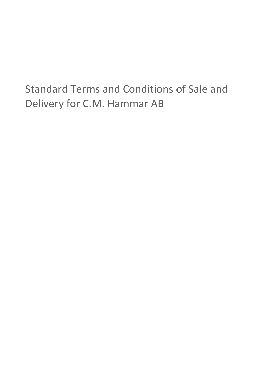# Standard Terms and Conditions of Sale and Delivery for C.M. Hammar AB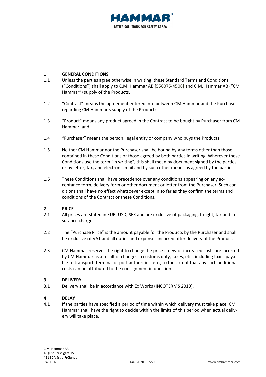

#### **1 GENERAL CONDITIONS**

- 1.1 Unless the parties agree otherwise in writing, these Standard Terms and Conditions ("Conditions") shall apply to C.M. Hammar AB [556075-4508] and C.M. Hammar AB ("CM Hammar") supply of the Products.
- 1.2 "Contract" means the agreement entered into between CM Hammar and the Purchaser regarding CM Hammar's supply of the Product;
- 1.3 "Product" means any product agreed in the Contract to be bought by Purchaser from CM Hammar; and
- 1.4 "Purchaser" means the person, legal entity or company who buys the Products.
- 1.5 Neither CM Hammar nor the Purchaser shall be bound by any terms other than those contained in these Conditions or those agreed by both parties in writing. Wherever these Conditions use the term "in writing", this shall mean by document signed by the parties, or by letter, fax, and electronic mail and by such other means as agreed by the parties.
- 1.6 These Conditions shall have precedence over any conditions appearing on any acceptance form, delivery form or other document or letter from the Purchaser. Such conditions shall have no effect whatsoever except in so far as they confirm the terms and conditions of the Contract or these Conditions.

#### **2 PRICE**

- 2.1 All prices are stated in EUR, USD, SEK and are exclusive of packaging, freight, tax and insurance charges.
- 2.2 The "Purchase Price" is the amount payable for the Products by the Purchaser and shall be exclusive of VAT and all duties and expenses incurred after delivery of the Product.
- 2.3 CM Hammar reserves the right to change the price if new or increased costs are incurred by CM Hammar as a result of changes in customs duty, taxes, etc., including taxes payable to transport, terminal or port authorities, etc., to the extent that any such additional costs can be attributed to the consignment in question.

#### **3 DELIVERY**

3.1 Delivery shall be in accordance with Ex Works (INCOTERMS 2010).

#### **4 DELAY**

4.1 If the parties have specified a period of time within which delivery must take place, CM Hammar shall have the right to decide within the limits of this period when actual delivery will take place.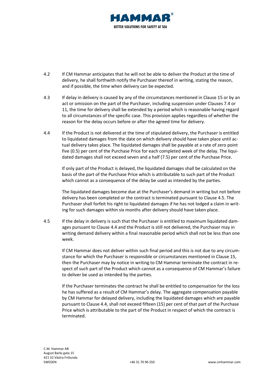

- 4.2 If CM Hammar anticipates that he will not be able to deliver the Product at the time of delivery, he shall forthwith notify the Purchaser thereof in writing, stating the reason, and if possible, the time when delivery can be expected.
- 4.3 If delay in delivery is caused by any of the circumstances mentioned in Clause [15](#page-6-0) or by an act or omission on the part of the Purchaser, including suspension under Clause[s 7.4](#page-4-0) or [11,](#page-5-0) the time for delivery shall be extended by a period which is reasonable having regard to all circumstances of the specific case. This provision applies regardless of whether the reason for the delay occurs before or after the agreed time for delivery.
- <span id="page-2-1"></span>4.4 If the Product is not delivered at the time of stipulated delivery, the Purchaser is entitled to liquidated damages from the date on which delivery should have taken place until actual delivery takes place. The liquidated damages shall be payable at a rate of zero point five (0.5) per cent of the Purchase Price for each completed week of the delay. The liquidated damages shall not exceed seven and a half (7.5) per cent of the Purchase Price.

If only part of the Product is delayed, the liquidated damages shall be calculated on the basis of the part of the Purchase Price which is attributable to such part of the Product which cannot as a consequence of the delay be used as intended by the parties.

The liquidated damages become due at the Purchaser's demand in writing but not before delivery has been completed or the contract is terminated pursuant to Clause [4.5.](#page-2-0) The Purchaser shall forfeit his right to liquidated damages if he has not lodged a claim in writing for such damages within six months after delivery should have taken place.

<span id="page-2-0"></span>4.5 If the delay in delivery is such that the Purchaser is entitled to maximum liquidated damages pursuant to Clause [4.4](#page-2-1) and the Product is still not delivered, the Purchaser may in writing demand delivery within a final reasonable period which shall not be less than one week.

If CM Hammar does not deliver within such final period and this is not due to any circumstance for which the Purchaser is responsible or circumstances mentioned in Clause [15,](#page-6-0) then the Purchaser may by notice in writing to CM Hammar terminate the contract in respect of such part of the Product which cannot as a consequence of CM Hammar's failure to deliver be used as intended by the parties.

If the Purchaser terminates the contract he shall be entitled to compensation for the loss he has suffered as a result of CM Hammar's delay. The aggregate compensation payable by CM Hammar for delayed delivery, including the liquidated damages which are payable pursuant to Clause [4.4,](#page-2-1) shall not exceed fifteen (15) per cent of that part of the Purchase Price which is attributable to the part of the Product in respect of which the contract is terminated.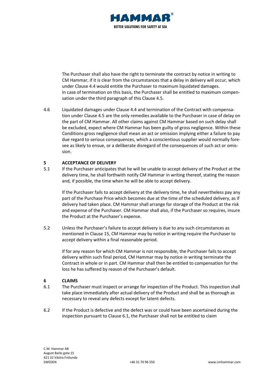

The Purchaser shall also have the right to terminate the contract by notice in writing to CM Hammar, if it is clear from the circumstances that a delay in delivery will occur, which under Claus[e 4.4](#page-2-1) would entitle the Purchaser to maximum liquidated damages. In case of termination on this basis, the Purchaser shall be entitled to maximum compensation under the third paragraph of this Clause [4.5.](#page-2-0)

4.6 Liquidated damages under Clause [4.4](#page-2-1) and termination of the Contract with compensation under Clause [4.5](#page-2-0) are the only remedies available to the Purchaser in case of delay on the part of CM Hammar. All other claims against CM Hammar based on such delay shall be excluded, expect where CM Hammar has been guilty of gross negligence. Within these Conditions gross negligence shall mean an act or omission implying either a failure to pay due regard to serious consequences, which a conscientious supplier would normally foresee as likely to ensue, or a deliberate disregard of the consequences of such act or omission.

# **5 ACCEPTANCE OF DELIVERY**

5.1 If the Purchaser anticipates that he will be unable to accept delivery of the Product at the delivery time, he shall forthwith notify CM Hammar in writing thereof, stating the reason and, if possible, the time when he will be able to accept delivery.

If the Purchaser fails to accept delivery at the delivery time, he shall nevertheless pay any part of the Purchase Price which becomes due at the time of the scheduled delivery, as if delivery had taken place. CM Hammar shall arrange for storage of the Product at the risk and expense of the Purchaser. CM Hammar shall also, if the Purchaser so requires, insure the Product at the Purchaser's expense.

5.2 Unless the Purchaser's failure to accept delivery is due to any such circumstances as mentioned in Clause [15,](#page-6-0) CM Hammar may by notice in writing require the Purchaser to accept delivery within a final reasonable period.

If for any reason for which CM Hammar is not responsible, the Purchaser fails to accept delivery within such final period, CM Hammar may by notice in writing terminate the Contract in whole or in part. CM Hammar shall then be entitled to compensation for the loss he has suffered by reason of the Purchaser's default.

#### **6 CLAIMS**

- <span id="page-3-0"></span>6.1 The Purchaser must inspect or arrange for inspection of the Product. This inspection shall take place immediately after actual delivery of the Product and shall be as thorough as necessary to reveal any defects except for latent defects.
- 6.2 If the Product is defective and the defect was or could have been ascertained during the inspection pursuant to Clause [6.1,](#page-3-0) the Purchaser shall not be entitled to claim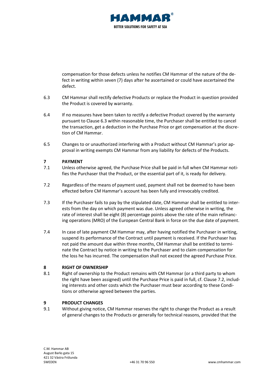

compensation for those defects unless he notifies CM Hammar of the nature of the defect in writing within seven (7) days after he ascertained or could have ascertained the defect.

- <span id="page-4-1"></span>6.3 CM Hammar shall rectify defective Products or replace the Product in question provided the Product is covered by warranty.
- 6.4 If no measures have been taken to rectify a defective Product covered by the warranty pursuant to Clause [6.3](#page-4-1) within reasonable time, the Purchaser shall be entitled to cancel the transaction, get a deduction in the Purchase Price or get compensation at the discretion of CM Hammar.
- 6.5 Changes to or unauthorized interfering with a Product without CM Hammar's prior approval in writing exempts CM Hammar from any liability for defects of the Products.

# **7 PAYMENT**

- 7.1 Unless otherwise agreed, the Purchase Price shall be paid in full when CM Hammar notifies the Purchaser that the Product, or the essential part of it, is ready for delivery.
- <span id="page-4-2"></span>7.2 Regardless of the means of payment used, payment shall not be deemed to have been effected before CM Hammar's account has been fully and irrevocably credited.
- 7.3 If the Purchaser fails to pay by the stipulated date, CM Hammar shall be entitled to interests from the day on which payment was due. Unless agreed otherwise in writing, the rate of interest shall be eight (8) percentage points above the rate of the main refinancing operations (MRO) of the European Central Bank in force on the due date of payment.
- <span id="page-4-0"></span>7.4 In case of late payment CM Hammar may, after having notified the Purchaser in writing, suspend its performance of the Contract until payment is received. If the Purchaser has not paid the amount due within three months, CM Hammar shall be entitled to terminate the Contract by notice in writing to the Purchaser and to claim compensation for the loss he has incurred. The compensation shall not exceed the agreed Purchase Price.

#### **8 RIGHT OF OWNERSHIP**

8.1 Right of ownership to the Product remains with CM Hammar (or a third party to whom the right have been assigned) until the Purchase Price is paid in full, cf. Claus[e 7.2,](#page-4-2) including interests and other costs which the Purchaser must bear according to these Conditions or otherwise agreed between the parties.

#### **9 PRODUCT CHANGES**

9.1 Without giving notice, CM Hammar reserves the right to change the Product as a result of general changes to the Products or generally for technical reasons, provided that the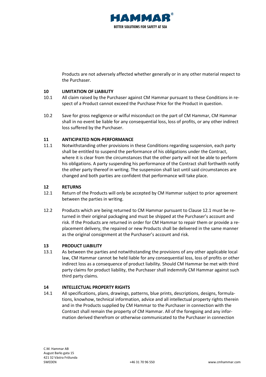

Products are not adversely affected whether generally or in any other material respect to the Purchaser.

# **10 <b>LIMITATION OF LIABILITY**<br>10.1 All claim raised by the Pur

- All claim raised by the Purchaser against CM Hammar pursuant to these Conditions in respect of a Product cannot exceed the Purchase Price for the Product in question.
- 10.2 Save for gross negligence or wilful misconduct on the part of CM Hammar, CM Hammar shall in no event be liable for any consequential loss, loss of profits, or any other indirect loss suffered by the Purchaser.

# <span id="page-5-0"></span>**11 ANTICIPATED NON-PERFORMANCE**

11.1 Notwithstanding other provisions in these Conditions regarding suspension, each party shall be entitled to suspend the performance of his obligations under the Contract, where it is clear from the circumstances that the other party will not be able to perform his obligations. A party suspending his performance of the Contract shall forthwith notify the other party thereof in writing. The suspension shall last until said circumstances are changed and both parties are confident that performance will take place.

#### **12 RETURNS**

- <span id="page-5-1"></span>12.1 Return of the Products will only be accepted by CM Hammar subject to prior agreement between the parties in writing.
- 12.2 Products which are being returned to CM Hammar pursuant to Clause [12.1](#page-5-1) must be returned in their original packaging and must be shipped at the Purchaser's account and risk. If the Products are returned in order for CM Hammar to repair them or provide a replacement delivery, the repaired or new Products shall be delivered in the same manner as the original consignment at the Purchaser's account and risk.

#### **13 PRODUCT LIABILITY**

13.1 As between the parties and notwithstanding the provisions of any other applicable local law, CM Hammar cannot be held liable for any consequential loss, loss of profits or other indirect loss as a consequence of product liability. Should CM Hammar be met with third party claims for product liability, the Purchaser shall indemnify CM Hammar against such third party claims.

#### **14 INTELLECTUAL PROPERTY RIGHTS**

14.1 All specifications, plans, drawings, patterns, blue prints, descriptions, designs, formulations, knowhow, technical information, advice and all intellectual property rights therein and in the Products supplied by CM Hammar to the Purchaser in connection with the Contract shall remain the property of CM Hammar. All of the foregoing and any information derived therefrom or otherwise communicated to the Purchaser in connection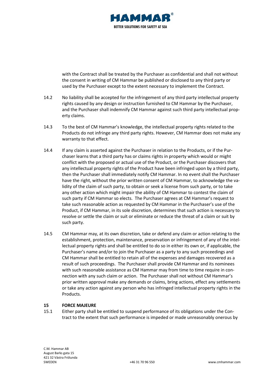

with the Contract shall be treated by the Purchaser as confidential and shall not without the consent in writing of CM Hammar be published or disclosed to any third party or used by the Purchaser except to the extent necessary to implement the Contract.

- 14.2 No liability shall be accepted for the infringement of any third party intellectual property rights caused by any design or instruction furnished to CM Hammar by the Purchaser, and the Purchaser shall indemnify CM Hammar against such third party intellectual property claims.
- 14.3 To the best of CM Hammar's knowledge, the intellectual property rights related to the Products do not infringe any third party rights. However, CM Hammar does not make any warranty to that effect.
- 14.4 If any claim is asserted against the Purchaser in relation to the Products, or if the Purchaser learns that a third party has or claims rights in property which would or might conflict with the proposed or actual use of the Product, or the Purchaser discovers that any intellectual property rights of the Product have been infringed upon by a third party, then the Purchaser shall immediately notify CM Hammar. In no event shall the Purchaser have the right, without the prior written consent of CM Hammar, to acknowledge the validity of the claim of such party, to obtain or seek a license from such party, or to take any other action which might impair the ability of CM Hammar to contest the claim of such party if CM Hammar so elects. The Purchaser agrees at CM Hammar's request to take such reasonable action as requested by CM Hammar in the Purchaser's use of the Product, if CM Hammar, in its sole discretion, determines that such action is necessary to resolve or settle the claim or suit or eliminate or reduce the threat of a claim or suit by such party.
- 14.5 CM Hammar may, at its own discretion, take or defend any claim or action relating to the establishment, protection, maintenance, preservation or infringement of any of the intellectual property rights and shall be entitled to do so in either its own or, if applicable, the Purchaser's name and/or to join the Purchaser as a party to any such proceedings and CM Hammar shall be entitled to retain all of the expenses and damages recovered as a result of such proceedings. The Purchaser shall provide CM Hammar and its nominees with such reasonable assistance as CM Hammar may from time to time require in connection with any such claim or action. The Purchaser shall not without CM Hammar's prior written approval make any demands or claims, bring actions, effect any settlements or take any action against any person who has infringed intellectual property rights in the Products.

#### <span id="page-6-0"></span>**15 FORCE MAJEURE**

15.1 Either party shall be entitled to suspend performance of its obligations under the Contract to the extent that such performance is impeded or made unreasonably onerous by